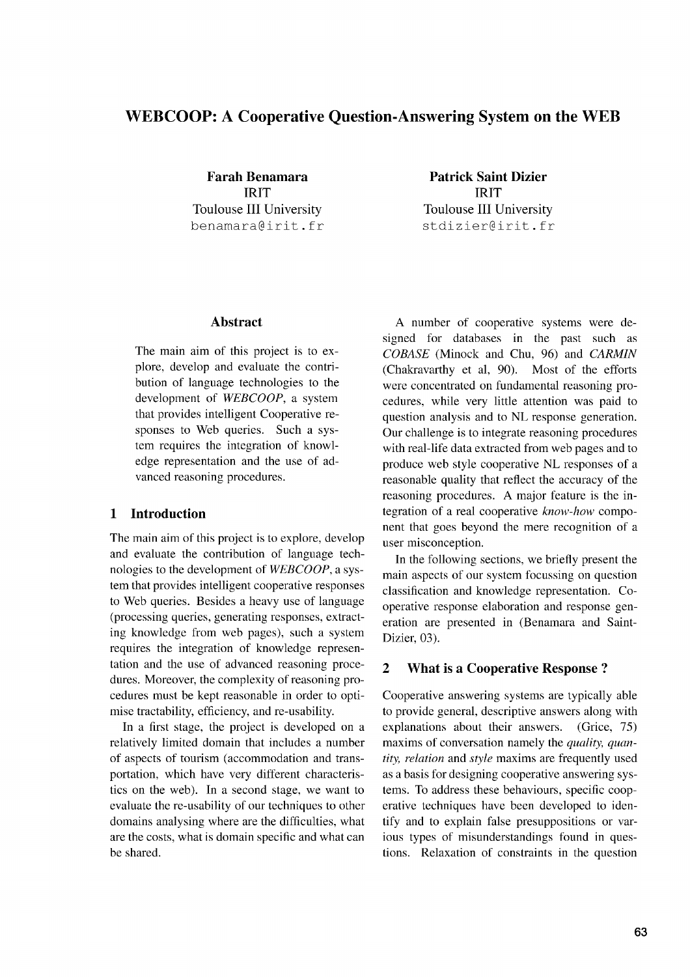# **WEB COOP: A Cooperative Question-Answering System on the WEB**

**IRIT IRIT** Toulouse III University Toulouse III University benamara@irit.fr stdizier@irit.fr

**Farah Benamara Patrick Saint Dizier**

### **Abstract**

The main aim of this project is to explore, develop and evaluate the contribution of language technologies to the development of *WEBCOOP,* a system that provides intelligent Cooperative responses to Web queries. Such a system requires the integration of knowledge representation and the use of advanced reasoning procedures.

### **1 Introduction**

The main aim of this project is to explore, develop and evaluate the contribution of language technologies to the development of *WEBCOOP,* a system that provides intelligent cooperative responses to Web queries. Besides a heavy use of language (processing queries, generating responses, extracting knowledge from web pages), such a system requires the integration of knowledge representation and the use of advanced reasoning procedures. Moreover, the complexity of reasoning procedures must be kept reasonable in order to optimise tractability, efficiency, and re-usability.

In a first stage, the project is developed on a relatively limited domain that includes a number of aspects of tourism (accommodation and transportation, which have very different characteristics on the web). In a second stage, we want to evaluate the re-usability of our techniques to other domains analysing where are the difficulties, what are the costs, what is domain specific and what can be shared.

A number of cooperative systems were designed for databases in the past such as *COBASE* (Minock and Chu, 96) and *CARMIN* (Chakravarthy et al, 90). Most of the efforts were concentrated on fundamental reasoning procedures, while very little attention was paid to question analysis and to NL response generation. Our challenge is to integrate reasoning procedures with real-life data extracted from web pages and to produce web style cooperative NL responses of a reasonable quality that reflect the accuracy of the reasoning procedures. A major feature is the integration of a real cooperative *know-how* component that goes beyond the mere recognition of a user misconception.

In the following sections, we briefly present the main aspects of our system focussing on question classification and knowledge representation. Cooperative response elaboration and response generation are presented in (Benamara and Saint-Dizier, 03).

### **2 What is a Cooperative Response ?**

Cooperative answering systems are typically able to provide general, descriptive answers along with explanations about their answers. (Grice, 75) maxims of conversation namely the *quality, quantity, relation* and *style* maxims are frequently used as a basis for designing cooperative answering systems. To address these behaviours, specific cooperative techniques have been developed to identify and to explain false presuppositions or various types of misunderstandings found in questions. Relaxation of constraints in the question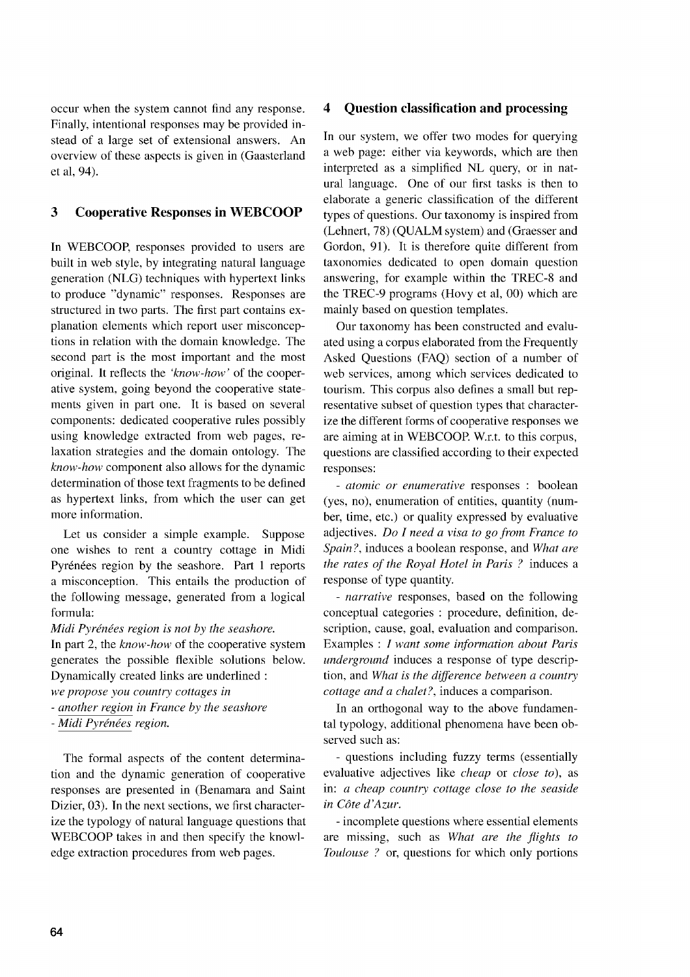occur when the system cannot find any response. Finally, intentional responses may be provided instead of a large set of extensional answers. An overview of these aspects is given in (Gaasterland et al, 94).

### 3 Cooperative Responses in WEBCOOP

In WEBCOOP, responses provided to users are built in web style, by integrating natural language generation (NLG) techniques with hypertext links to produce "dynamic" responses. Responses are structured in two parts. The first part contains explanation elements which report user misconceptions in relation with the domain knowledge. The second part is the most important and the most original. It reflects the *'know-how'* of the cooperative system, going beyond the cooperative statements given in part one. It is based on several components: dedicated cooperative rules possibly using knowledge extracted from web pages, relaxation strategies and the domain ontology. The *know-how* component also allows for the dynamic determination of those text fragments to be defined as hypertext links, from which the user can get more information.

Let us consider a simple example. Suppose one wishes to rent a country cottage in Midi Pyrénées region by the seashore. Part 1 reports a misconception. This entails the production of the following message, generated from a logical formula:

*Midi Pyrenees region is not by the seashore.*

In part 2, the *know-how* of the cooperative system generates the possible flexible solutions below. Dynamically created links are underlined

*we propose you country cottages in*

*- another region in France by the seashore*

*- Midi Pyrenees region.*

The formal aspects of the content determination and the dynamic generation of cooperative responses are presented in (Benamara and Saint Dizier, 03). In the next sections, we first characterize the typology of natural language questions that WEBCOOP takes in and then specify the knowledge extraction procedures from web pages.

### 4 Question classification and processing

In our system, we offer two modes for querying a web page: either via keywords, which are then interpreted as a simplified NL query, or in natural language. One of our first tasks is then to elaborate a generic classification of the different types of questions. Our taxonomy is inspired from (Lehnert, 78) (QUALM system) and (Graesser and Gordon, 91). It is therefore quite different from taxonomies dedicated to open domain question answering, for example within the TREC-8 and the TREC-9 programs (Hovy et al, 00) which are mainly based on question templates.

Our taxonomy has been constructed and evaluated using a corpus elaborated from the Frequently Asked Questions (FAQ) section of a number of web services, among which services dedicated to tourism. This corpus also defines a small but representative subset of question types that characterize the different forms of cooperative responses we are aiming at in WEBCOOP. W.r.t. to this corpus, questions are classified according to their expected responses:

*- atomic or enumerative* responses : boolean (yes, no), enumeration of entities, quantity (number, time, etc.) or quality expressed by evaluative adjectives. *Do I need a visa to go from France to Spain?,* induces a boolean response, and *What are the rates of the Royal Hotel in Paris ?* induces a response of type quantity.

*- narrative* responses, based on the following conceptual categories : procedure, definition, description, cause, goal, evaluation and comparison. Examples : *I want some information about Paris underground* induces a response of type description, and *What is the difference between a country cottage and a chalet?,* induces a comparison.

In an orthogonal way to the above fundamental typology, additional phenomena have been observed such as:

- questions including fuzzy terms (essentially evaluative adjectives like *cheap* or *close to),* as in: *a cheap country cottage close to the seaside in COte d'Azur.*

- incomplete questions where essential elements are missing, such as *What are the flights to Toulouse ?* or, questions for which only portions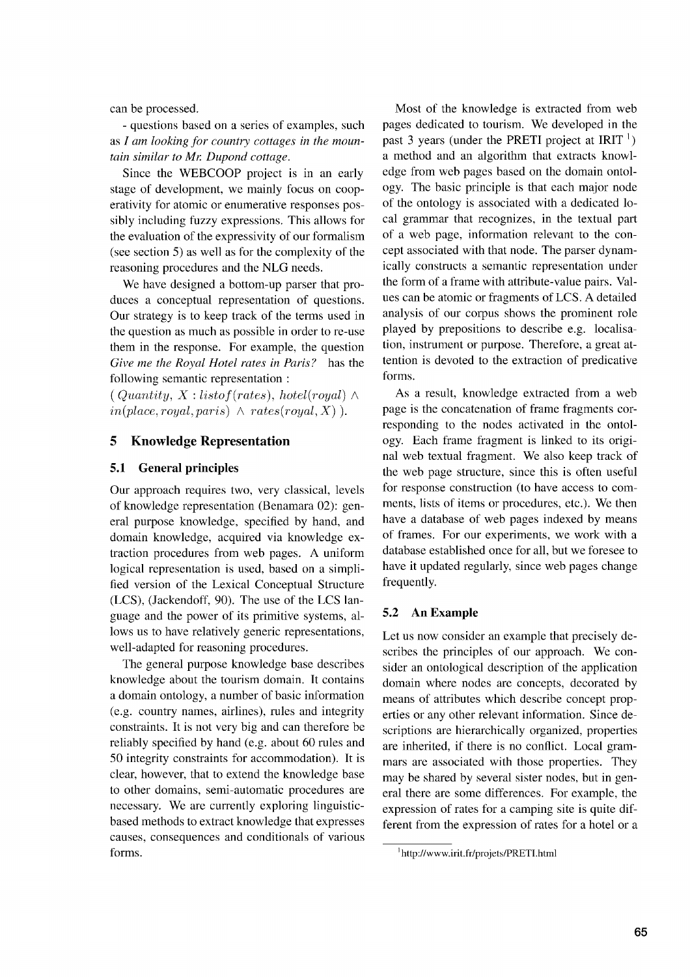can be processed.

- questions based on a series of examples, such as *I am looking for country cottages in the mountain similar to Mr. Dupond cottage.* 

Since the WEBCOOP project is in an early stage of development, we mainly focus on cooperativity for atomic or enumerative responses possibly including fuzzy expressions. This allows for the evaluation of the expressivity of our formalism (see section 5) as well as for the complexity of the reasoning procedures and the NLG needs.

We have designed a bottom-up parser that produces a conceptual representation of questions. Our strategy is to keep track of the terms used in the question as much as possible in order to re-use them in the response. For example, the question *Give me the Royal Hotel rates in Paris?* has the following semantic representation

 $(Quantity, X: list of (rates), hotel (royal) \wedge$  $in(place, royal, pairs) \wedge rates(royal, X)$ .

### **5 Knowledge Representation**

#### **5.1 General principles**

Our approach requires two, very classical, levels of knowledge representation (Benamara 02): general purpose knowledge, specified by hand, and domain knowledge, acquired via knowledge extraction procedures from web pages. A uniform logical representation is used, based on a simplified version of the Lexical Conceptual Structure (LCS), (Jackendoff, 90). The use of the LCS language and the power of its primitive systems, allows us to have relatively generic representations, well-adapted for reasoning procedures.

The general purpose knowledge base describes knowledge about the tourism domain. It contains a domain ontology, a number of basic information (e.g. country names, airlines), rules and integrity constraints. It is not very big and can therefore be reliably specified by hand (e.g. about 60 rules and 50 integrity constraints for accommodation). It is clear, however, that to extend the knowledge base to other domains, semi-automatic procedures are necessary. We are currently exploring linguisticbased methods to extract knowledge that expresses causes, consequences and conditionals of various forms.

Most of the knowledge is extracted from web pages dedicated to tourism. We developed in the past 3 years (under the **PRETI** project at **IRIT** <sup>1</sup> ) a method and an algorithm that extracts knowledge from web pages based on the domain ontology. The basic principle is that each major node of the ontology is associated with a dedicated local grammar that recognizes, in the textual part of a web page, information relevant to the concept associated with that node. The parser dynamically constructs a semantic representation under the form of a frame with attribute-value pairs. Values can be atomic or fragments of LCS. A detailed analysis of our corpus shows the prominent role played by prepositions to describe e.g. localisation, instrument or purpose. Therefore, a great attention is devoted to the extraction of predicative forms.

As a result, knowledge extracted from a web page is the concatenation of frame fragments corresponding to the nodes activated in the ontology. Each frame fragment is linked to its original web textual fragment. We also keep track of the web page structure, since this is often useful for response construction (to have access to comments, lists of items or procedures, etc.). We then have a database of web pages indexed by means of frames. For our experiments, we work with a database established once for all, but we foresee to have it updated regularly, since web pages change frequently.

#### **5.2 An Example**

Let us now consider an example that precisely describes the principles of our approach. We consider an ontological description of the application domain where nodes are concepts, decorated by means of attributes which describe concept properties or any other relevant information. Since descriptions are hierarchically organized, properties are inherited, if there is no conflict. Local grammars are associated with those properties. They may be shared by several sister nodes, but in general there are some differences. For example, the expression of rates for a camping site is quite different from the expression of rates for a hotel or a

<sup>1</sup> http://www.irit.fr/projets/PRETI.html